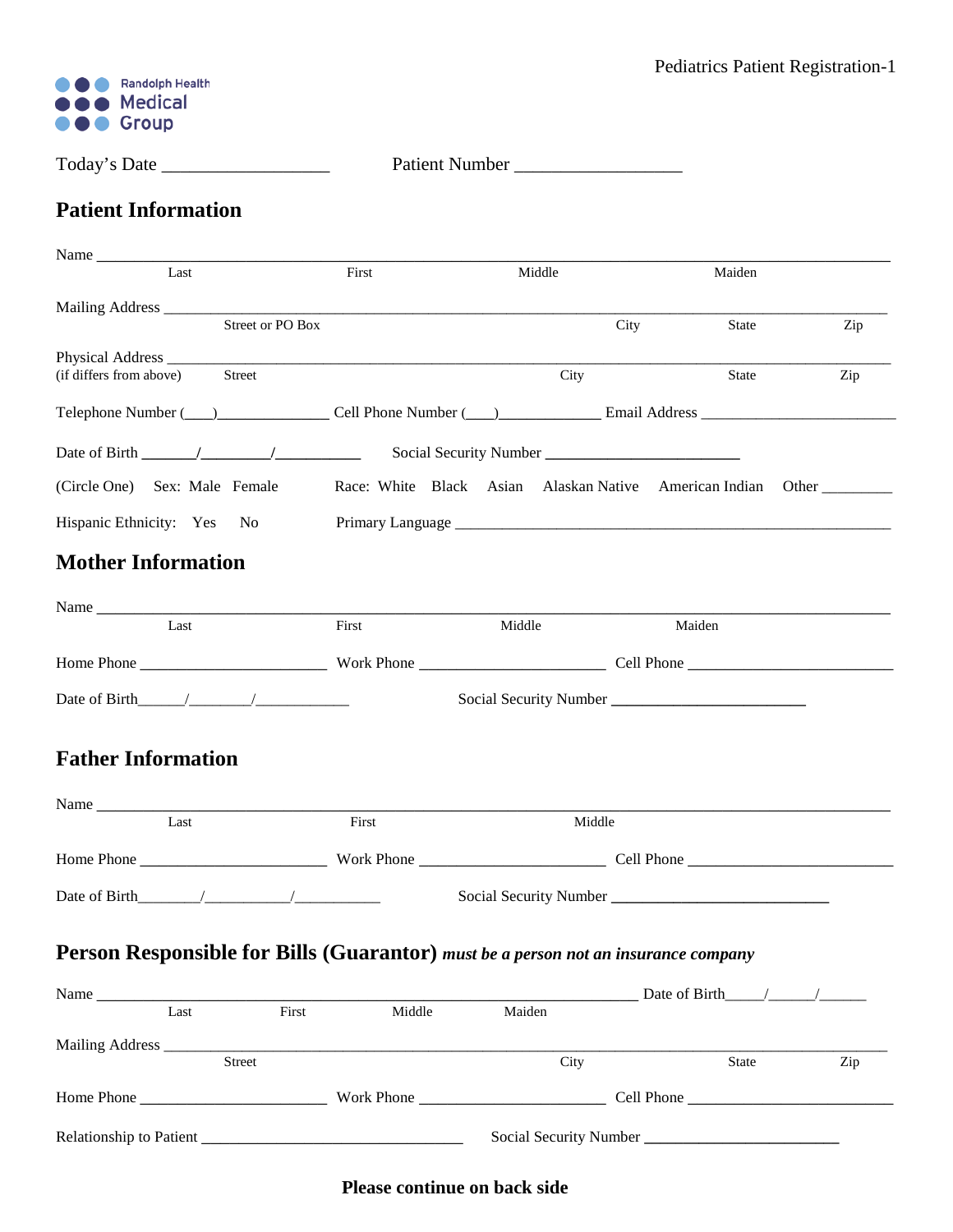

Today's Date \_\_\_\_\_\_\_\_\_\_\_\_\_\_\_\_\_\_ Patient Number \_\_\_\_\_\_\_\_\_\_\_\_\_\_\_\_\_\_

## **Patient Information**

| Name                                                                                                                                                                                                                           |        |                                                              |                                       |     |  |  |
|--------------------------------------------------------------------------------------------------------------------------------------------------------------------------------------------------------------------------------|--------|--------------------------------------------------------------|---------------------------------------|-----|--|--|
| Last                                                                                                                                                                                                                           | First  | Middle                                                       | Maiden                                |     |  |  |
|                                                                                                                                                                                                                                |        |                                                              |                                       |     |  |  |
| <b>Street or PO Box</b>                                                                                                                                                                                                        |        |                                                              | City<br>State                         | Zip |  |  |
| (if differs from above)<br>Street                                                                                                                                                                                              |        | City                                                         | State                                 | Zip |  |  |
|                                                                                                                                                                                                                                |        |                                                              |                                       |     |  |  |
| Telephone Number (Call Phone Number (Call Phone Number (Call Phone Number (Call Phone Number (Call Phone Number (Call Phone Number (Call Phone Number (Call Phone Number (Call Phone Number (Call Phone Number (Call Phone Num |        |                                                              |                                       |     |  |  |
|                                                                                                                                                                                                                                |        |                                                              |                                       |     |  |  |
| (Circle One) Sex: Male Female                                                                                                                                                                                                  |        | Race: White Black Asian Alaskan Native American Indian Other |                                       |     |  |  |
| Hispanic Ethnicity: Yes No                                                                                                                                                                                                     |        |                                                              |                                       |     |  |  |
| <b>Mother Information</b>                                                                                                                                                                                                      |        |                                                              |                                       |     |  |  |
|                                                                                                                                                                                                                                |        |                                                              |                                       |     |  |  |
| Last                                                                                                                                                                                                                           | First  | Middle                                                       | Maiden                                |     |  |  |
|                                                                                                                                                                                                                                |        |                                                              |                                       |     |  |  |
|                                                                                                                                                                                                                                |        |                                                              |                                       |     |  |  |
| Date of Birth $\frac{1}{\sqrt{2}}$                                                                                                                                                                                             |        |                                                              |                                       |     |  |  |
| <b>Father Information</b>                                                                                                                                                                                                      |        |                                                              |                                       |     |  |  |
| Last                                                                                                                                                                                                                           | First  | Middle                                                       |                                       |     |  |  |
|                                                                                                                                                                                                                                |        |                                                              |                                       |     |  |  |
|                                                                                                                                                                                                                                |        |                                                              |                                       |     |  |  |
| Person Responsible for Bills (Guarantor) must be a person not an insurance company                                                                                                                                             |        |                                                              |                                       |     |  |  |
|                                                                                                                                                                                                                                | First  |                                                              | Date of Birth $\_\_\_\_\_\_\_\_\_\_\$ |     |  |  |
| Last                                                                                                                                                                                                                           | Middle | Maiden                                                       |                                       |     |  |  |
| <b>Street</b>                                                                                                                                                                                                                  |        | City                                                         | State                                 | Zip |  |  |
|                                                                                                                                                                                                                                |        |                                                              |                                       |     |  |  |
|                                                                                                                                                                                                                                |        |                                                              |                                       |     |  |  |